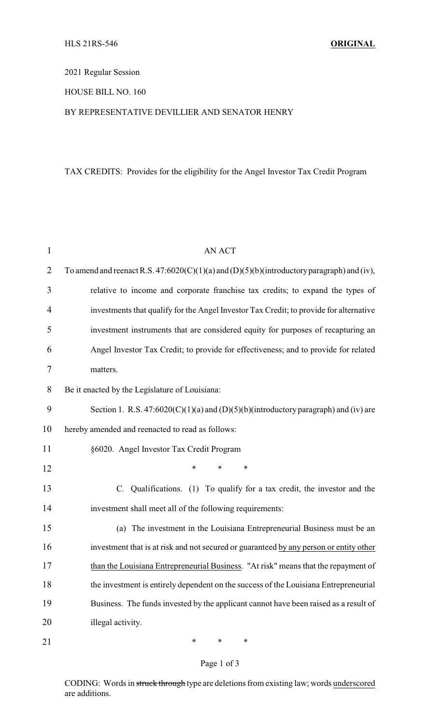## 2021 Regular Session

## HOUSE BILL NO. 160

### BY REPRESENTATIVE DEVILLIER AND SENATOR HENRY

# TAX CREDITS: Provides for the eligibility for the Angel Investor Tax Credit Program

| $\mathbf{1}$   | <b>AN ACT</b>                                                                              |
|----------------|--------------------------------------------------------------------------------------------|
| $\overline{2}$ | To amend and reenact R.S. 47:6020(C)(1)(a) and (D)(5)(b)(introductory paragraph) and (iv), |
| 3              | relative to income and corporate franchise tax credits; to expand the types of             |
| 4              | investments that qualify for the Angel Investor Tax Credit; to provide for alternative     |
| 5              | investment instruments that are considered equity for purposes of recapturing an           |
| 6              | Angel Investor Tax Credit; to provide for effectiveness; and to provide for related        |
| 7              | matters.                                                                                   |
| 8              | Be it enacted by the Legislature of Louisiana:                                             |
| 9              | Section 1. R.S. $47:6020(C)(1)(a)$ and $(D)(5)(b)$ (introductory paragraph) and (iv) are   |
| 10             | hereby amended and reenacted to read as follows:                                           |
| 11             | §6020. Angel Investor Tax Credit Program                                                   |
| 12             | $\ast$<br>$\ast$<br>*                                                                      |
| 13             | C. Qualifications. (1) To qualify for a tax credit, the investor and the                   |
| 14             | investment shall meet all of the following requirements:                                   |
| 15             | (a) The investment in the Louisiana Entrepreneurial Business must be an                    |
| 16             | investment that is at risk and not secured or guaranteed by any person or entity other     |
| 17             | than the Louisiana Entrepreneurial Business. "At risk" means that the repayment of         |
| 18             | the investment is entirely dependent on the success of the Louisiana Entrepreneurial       |
| 19             | Business. The funds invested by the applicant cannot have been raised as a result of       |
| 20             | illegal activity.                                                                          |
| 21             | $\ast$<br>$\ast$<br>$\ast$                                                                 |

# Page 1 of 3

CODING: Words in struck through type are deletions from existing law; words underscored are additions.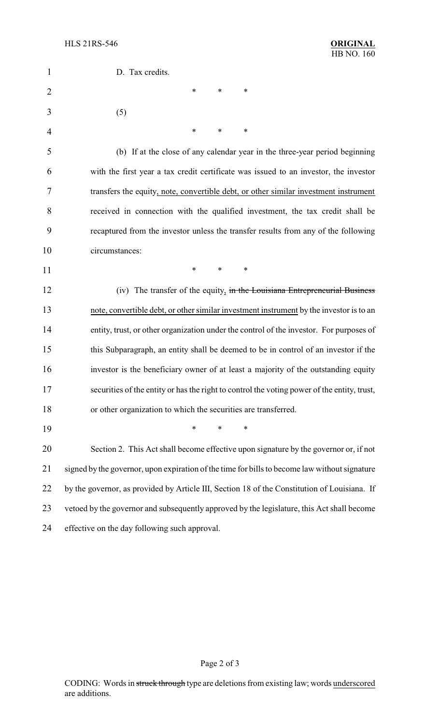| $\mathbf{1}$   | D. Tax credits.                                                                               |
|----------------|-----------------------------------------------------------------------------------------------|
| $\overline{2}$ | ∗<br>*<br>∗                                                                                   |
| 3              | (5)                                                                                           |
| $\overline{4}$ | ∗<br>*<br>∗                                                                                   |
| 5              | (b) If at the close of any calendar year in the three-year period beginning                   |
| 6              | with the first year a tax credit certificate was issued to an investor, the investor          |
| 7              | transfers the equity, note, convertible debt, or other similar investment instrument          |
| 8              | received in connection with the qualified investment, the tax credit shall be                 |
| 9              | recaptured from the investor unless the transfer results from any of the following            |
| 10             | circumstances:                                                                                |
| 11             | $\ast$<br>*<br>*                                                                              |
| 12             | (iv) The transfer of the equity, in the Louisiana Entrepreneurial Business                    |
| 13             | note, convertible debt, or other similar investment instrument by the investor is to an       |
| 14             | entity, trust, or other organization under the control of the investor. For purposes of       |
| 15             | this Subparagraph, an entity shall be deemed to be in control of an investor if the           |
| 16             | investor is the beneficiary owner of at least a majority of the outstanding equity            |
| 17             | securities of the entity or has the right to control the voting power of the entity, trust,   |
| 18             | or other organization to which the securities are transferred.                                |
| 19             | *<br>*<br>∗                                                                                   |
| 20             | Section 2. This Act shall become effective upon signature by the governor or, if not          |
| 21             | signed by the governor, upon expiration of the time for bills to become law without signature |
| 22             | by the governor, as provided by Article III, Section 18 of the Constitution of Louisiana. If  |
| 23             | vetoed by the governor and subsequently approved by the legislature, this Act shall become    |
| 24             | effective on the day following such approval.                                                 |